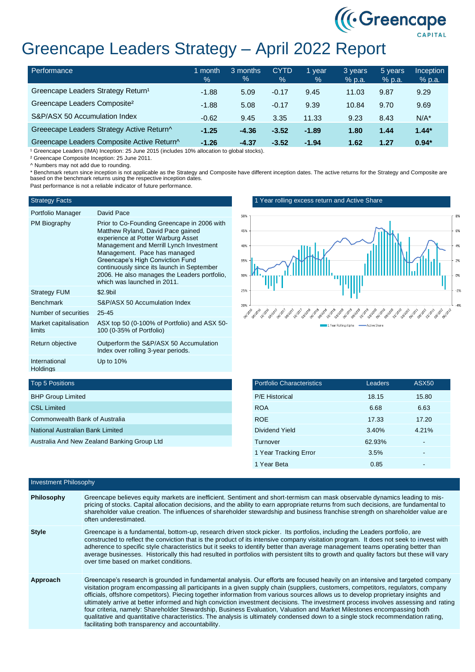# Greencape Leaders Strategy – April 2022 Report

| Performance                                    | month<br>$\frac{1}{2}$ | 3 months<br>% | <b>CYTD</b><br>$\%$ | vear<br>$\%$ | 3 years<br>% p.a. | 5 years<br>% p.a. | <b>Inception</b><br>$%$ p.a. |
|------------------------------------------------|------------------------|---------------|---------------------|--------------|-------------------|-------------------|------------------------------|
| Greencape Leaders Strategy Return <sup>1</sup> | $-1.88$                | 5.09          | $-0.17$             | 9.45         | 11.03             | 9.87              | 9.29                         |
| Greencape Leaders Composite <sup>2</sup>       | $-1.88$                | 5.08          | $-0.17$             | 9.39         | 10.84             | 9.70              | 9.69                         |
| S&P/ASX 50 Accumulation Index                  | $-0.62$                | 9.45          | 3.35                | 11.33        | 9.23              | 8.43              | $N/A^*$                      |
| Greeecape Leaders Strategy Active Return^      | $-1.25$                | $-4.36$       | $-3.52$             | $-1.89$      | 1.80              | 1.44              | $1.44*$                      |
| Greencape Leaders Composite Active Return^     | $-1.26$                | $-4.37$       | $-3.52$             | $-1.94$      | 1.62              | 1.27              | $0.94*$                      |

<sup>1</sup> Greencape Leaders (IMA) Inception: 25 June 2015 (includes 10% allocation to global stocks).

² Greencape Composite Inception: 25 June 2011.

^ Numbers may not add due to rounding.

\* Benchmark return since inception is not applicable as the Strategy and Composite have different inception dates. The active returns for the Strategy and Composite are based on the benchmark returns using the respective inception dates.

Past performance is not a reliable indicator of future performance.

### Strategy Facts

Top 5 Positions BHP Group Limited CSL Limited

Commonwealth Bank of Australia National Australian Bank Limited

Australia And New Zealand Banking Group Ltd

| $l$ arifalia Managar |  |
|----------------------|--|

| Portfolio Manager               | David Pace                                                                                                                                                                                                                                                                                                                                                         |
|---------------------------------|--------------------------------------------------------------------------------------------------------------------------------------------------------------------------------------------------------------------------------------------------------------------------------------------------------------------------------------------------------------------|
| PM Biography                    | Prior to Co-Founding Greencape in 2006 with<br>Matthew Ryland, David Pace gained<br>experience at Potter Warburg Asset<br>Management and Merrill Lynch Investment<br>Management. Pace has managed<br>Greencape's High Conviction Fund<br>continuously since its launch in September<br>2006. He also manages the Leaders portfolio,<br>which was launched in 2011. |
| <b>Strategy FUM</b>             | \$2.9bil                                                                                                                                                                                                                                                                                                                                                           |
| <b>Benchmark</b>                | S&P/ASX 50 Accumulation Index                                                                                                                                                                                                                                                                                                                                      |
| Number of securities            | $25 - 45$                                                                                                                                                                                                                                                                                                                                                          |
| Market capitalisation<br>limits | ASX top 50 (0-100% of Portfolio) and ASX 50-<br>100 (0-35% of Portfolio)                                                                                                                                                                                                                                                                                           |
| Return objective                | Outperform the S&P/ASX 50 Accumulation<br>Index over rolling 3-year periods.                                                                                                                                                                                                                                                                                       |
| International<br>Holdings       | Up to $10\%$                                                                                                                                                                                                                                                                                                                                                       |

#### 1 Year rolling excess return and Active Share



**I**.Greencape

| <b>Portfolio Characteristics</b> | Leaders | <b>ASX50</b> |
|----------------------------------|---------|--------------|
| <b>P/E Historical</b>            | 18.15   | 15.80        |
| <b>ROA</b>                       | 6.68    | 6.63         |
| <b>ROE</b>                       | 17.33   | 17.20        |
| Dividend Yield                   | 3.40%   | 4.21%        |
| Turnover                         | 62.93%  |              |
| 1 Year Tracking Error            | 3.5%    |              |
| 1 Year Beta                      | 0.85    |              |

# Investment Philosophy **Philosophy** Greencape believes equity markets are inefficient. Sentiment and short-termism can mask observable dynamics leading to mispricing of stocks. Capital allocation decisions, and the ability to earn appropriate returns from such decisions, are fundamental to shareholder value creation. The influences of shareholder stewardship and business franchise strength on shareholder value are often underestimated. **Style** Greencape is a fundamental, bottom-up, research driven stock picker. Its portfolios, including the Leaders portfolio, are constructed to reflect the conviction that is the product of its intensive company visitation program. It does not seek to invest with adherence to specific style characteristics but it seeks to identify better than average management teams operating better than average businesses. Historically this had resulted in portfolios with persistent tilts to growth and quality factors but these will vary over time based on market conditions. **Approach** Greencape's research is grounded in fundamental analysis. Our efforts are focused heavily on an intensive and targeted company visitation program encompassing all participants in a given supply chain (suppliers, customers, competitors, regulators, company officials, offshore competitors). Piecing together information from various sources allows us to develop proprietary insights and ultimately arrive at better informed and high conviction investment decisions. The investment process involves assessing and rating four criteria, namely: Shareholder Stewardship, Business Evaluation, Valuation and Market Milestones encompassing both qualitative and quantitative characteristics. The analysis is ultimately condensed down to a single stock recommendation rating, facilitating both transparency and accountability.